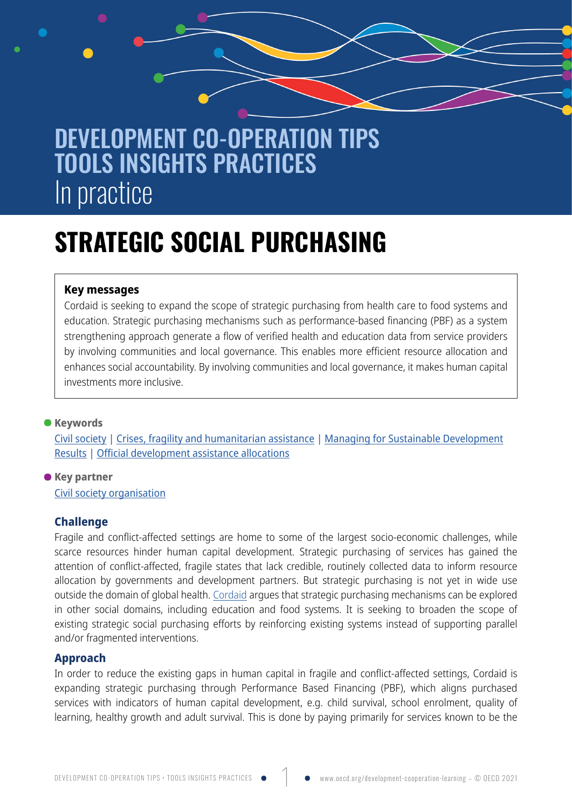## DEVELOPMENT CO-OPERATION TIPS TOOLS INSIGHTS PRACTICES In practice

# **STRATEGIC SOCIAL PURCHASING**

#### **Key messages**

Cordaid is seeking to expand the scope of strategic purchasing from health care to food systems and education. Strategic purchasing mechanisms such as performance-based financing (PBF) as a system strengthening approach generate a flow of verified health and education data from service providers by involving communities and local governance. This enables more efficient resource allocation and enhances social accountability. By involving communities and local governance, it makes human capital investments more inclusive.

### **•B**<br>**•Reywords**

[Civil society](https://www.oecd.org/development-cooperation-learning?tag-keyword=civil+society#search) | [Crises, fragility and humanitarian assistance](https://www.oecd.org/development-cooperation-learning?tag-keyword=crises,+fragility+and+humanitarian+assistance#search) | [Managing for Sustainable Development](https://www.oecd.org/development-cooperation-learning?tag-keyword=managing+for+sustainable+development+results#search) [Results](https://www.oecd.org/development-cooperation-learning?tag-keyword=managing+for+sustainable+development+results#search) | [Official development assistance allocations](https://www.oecd.org/development-cooperation-learning?tag-keyword=official+development+assistance+allocations#search)

**Key partner •** [Civil society organisation](https://www.oecd.org/development-cooperation-learning?tag-key+partner=civil+society+organisation#search)

#### **Challenge**

Fragile and conflict-affected settings are home to some of the largest socio-economic challenges, while scarce resources hinder human capital development. Strategic purchasing of services has gained the attention of conflict-affected, fragile states that lack credible, routinely collected data to inform resource allocation by governments and development partners. But strategic purchasing is not yet in wide use outside the domain of global health. [Cordaid](https://www.cordaid.org/en/) argues that strategic purchasing mechanisms can be explored in other social domains, including education and food systems. It is seeking to broaden the scope of existing strategic social purchasing efforts by reinforcing existing systems instead of supporting parallel and/or fragmented interventions.

#### **Approach**

In order to reduce the existing gaps in human capital in fragile and conflict-affected settings, Cordaid is expanding strategic purchasing through Performance Based Financing (PBF), which aligns purchased services with indicators of human capital development, e.g. child survival, school enrolment, quality of learning, healthy growth and adult survival. This is done by paying primarily for services known to be the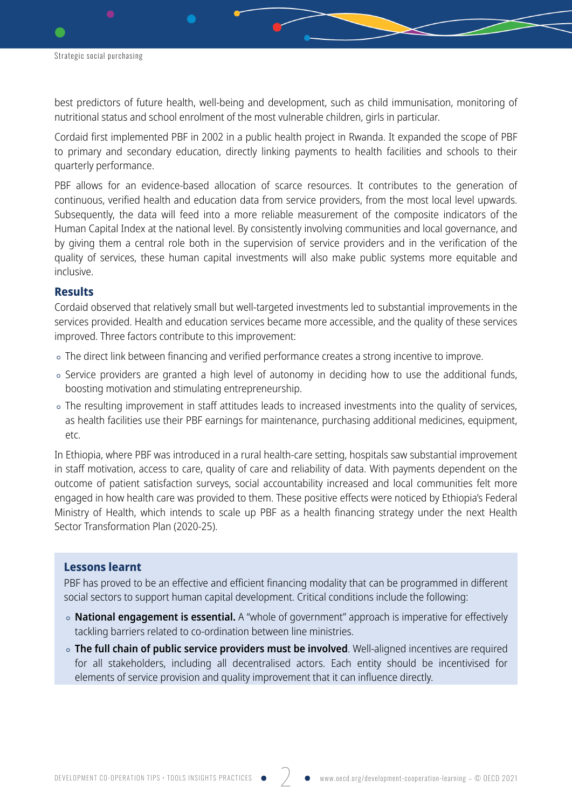best predictors of future health, well-being and development, such as child immunisation, monitoring of nutritional status and school enrolment of the most vulnerable children, girls in particular.

Cordaid first implemented PBF in 2002 in a public health project in Rwanda. It expanded the scope of PBF to primary and secondary education, directly linking payments to health facilities and schools to their quarterly performance.

PBF allows for an evidence-based allocation of scarce resources. It contributes to the generation of continuous, verified health and education data from service providers, from the most local level upwards. Subsequently, the data will feed into a more reliable measurement of the composite indicators of the Human Capital Index at the national level. By consistently involving communities and local governance, and by giving them a central role both in the supervision of service providers and in the verification of the quality of services, these human capital investments will also make public systems more equitable and inclusive.

#### **Results**

Cordaid observed that relatively small but well-targeted investments led to substantial improvements in the services provided. Health and education services became more accessible, and the quality of these services improved. Three factors contribute to this improvement:

- The direct link between financing and verified performance creates a strong incentive to improve.
- Service providers are granted a high level of autonomy in deciding how to use the additional funds, boosting motivation and stimulating entrepreneurship.
- The resulting improvement in staff attitudes leads to increased investments into the quality of services, as health facilities use their PBF earnings for maintenance, purchasing additional medicines, equipment, etc.

In Ethiopia, where PBF was introduced in a rural health-care setting, hospitals saw substantial improvement in staff motivation, access to care, quality of care and reliability of data. With payments dependent on the outcome of patient satisfaction surveys, social accountability increased and local communities felt more engaged in how health care was provided to them. These positive effects were noticed by Ethiopia's Federal Ministry of Health, which intends to scale up PBF as a health financing strategy under the next Health Sector Transformation Plan (2020-25).

#### **Lessons learnt**

PBF has proved to be an effective and efficient financing modality that can be programmed in different social sectors to support human capital development. Critical conditions include the following:

- **National engagement is essential.** A "whole of government" approach is imperative for effectively tackling barriers related to co-ordination between line ministries.
- **The full chain of public service providers must be involved**. Well-aligned incentives are required for all stakeholders, including all decentralised actors. Each entity should be incentivised for elements of service provision and quality improvement that it can influence directly.